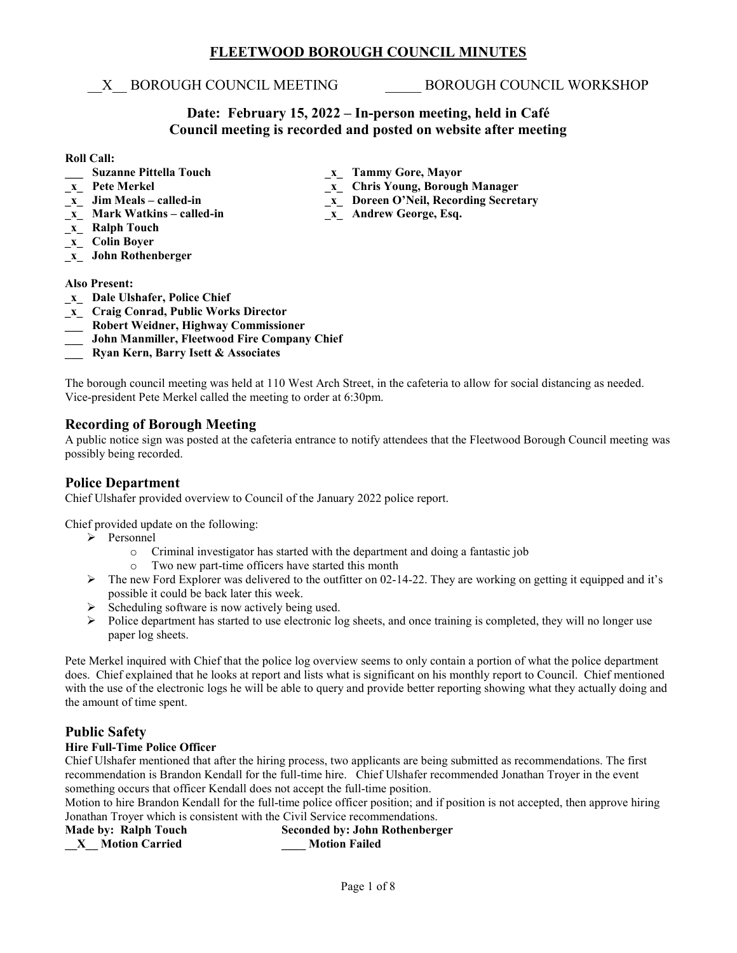## **FLEETWOOD BOROUGH COUNCIL MINUTES**

\_\_X\_\_ BOROUGH COUNCIL MEETING \_\_\_\_\_ BOROUGH COUNCIL WORKSHOP

## **Date: February 15, 2022 – In-person meeting, held in Café Council meeting is recorded and posted on website after meeting**

**\_x\_ Doreen O'Neil, Recording Secretary**<br>*x\_ Andrew George, Esq.* 

## **Roll Call:**

- **\_\_\_ Suzanne Pittella Touch \_\_\_ \_\_\_ Tammy Gore, Mayor**<br> **\_\_\_ \_\_ Pete Merkel decay of Chris Young, Borougly**
- 
- **\_x\_ Pete Merkel \_x\_ Chris Young, Borough Manager**
- **x Mark Watkins called-in**
- **\_x\_ Ralph Touch**
- **\_x\_ Colin Boyer**
- **\_x\_ John Rothenberger**

## **Also Present:**

- **\_x\_ Dale Ulshafer, Police Chief**
- **\_x\_ Craig Conrad, Public Works Director**
- **\_\_\_ Robert Weidner, Highway Commissioner**
- **\_\_\_ John Manmiller, Fleetwood Fire Company Chief**
- **\_\_\_ Ryan Kern, Barry Isett & Associates**

The borough council meeting was held at 110 West Arch Street, in the cafeteria to allow for social distancing as needed. Vice-president Pete Merkel called the meeting to order at 6:30pm.

## **Recording of Borough Meeting**

A public notice sign was posted at the cafeteria entrance to notify attendees that the Fleetwood Borough Council meeting was possibly being recorded.

## **Police Department**

Chief Ulshafer provided overview to Council of the January 2022 police report.

Chief provided update on the following:

- $\triangleright$  Personnel
	- o Criminal investigator has started with the department and doing a fantastic job
	- o Two new part-time officers have started this month
- The new Ford Explorer was delivered to the outfitter on 02-14-22. They are working on getting it equipped and it's possible it could be back later this week.
- $\triangleright$  Scheduling software is now actively being used.
- Police department has started to use electronic log sheets, and once training is completed, they will no longer use paper log sheets.

Pete Merkel inquired with Chief that the police log overview seems to only contain a portion of what the police department does. Chief explained that he looks at report and lists what is significant on his monthly report to Council. Chief mentioned with the use of the electronic logs he will be able to query and provide better reporting showing what they actually doing and the amount of time spent.

## **Public Safety**

## **Hire Full-Time Police Officer**

Chief Ulshafer mentioned that after the hiring process, two applicants are being submitted as recommendations. The first recommendation is Brandon Kendall for the full-time hire. Chief Ulshafer recommended Jonathan Troyer in the event something occurs that officer Kendall does not accept the full-time position.

Motion to hire Brandon Kendall for the full-time police officer position; and if position is not accepted, then approve hiring Jonathan Troyer which is consistent with the Civil Service recommendations.

#### **Made by: Ralph Touch Seconded by: John Rothenberger \_\_X\_\_ Motion Carried \_\_\_\_ Motion Failed**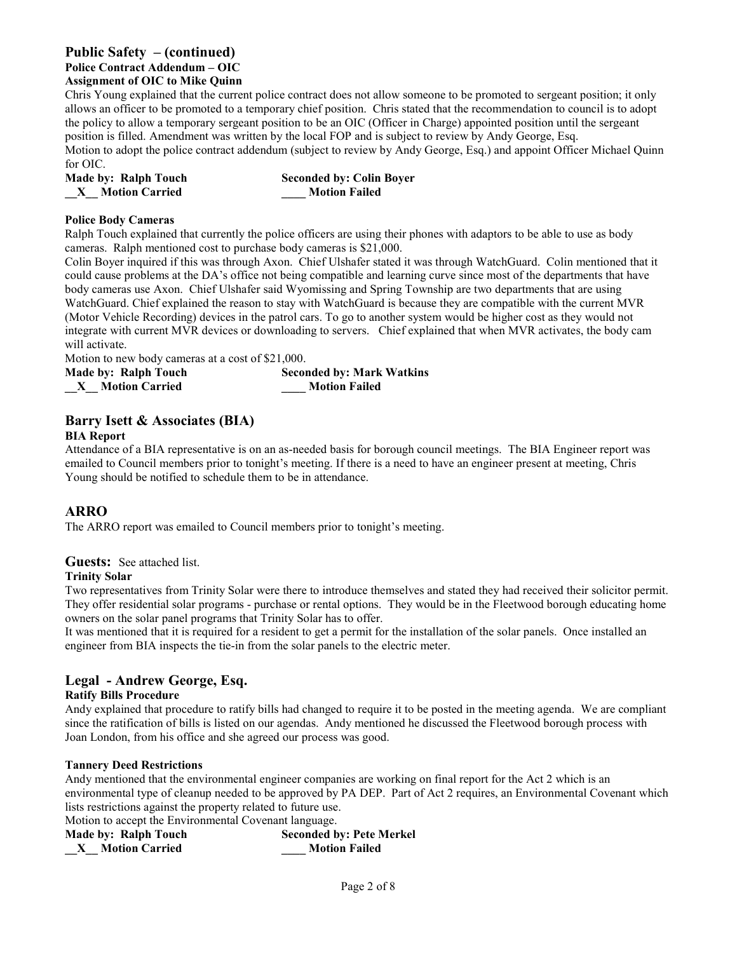## **Public Safety – (continued) Police Contract Addendum – OIC Assignment of OIC to Mike Quinn**

Chris Young explained that the current police contract does not allow someone to be promoted to sergeant position; it only allows an officer to be promoted to a temporary chief position. Chris stated that the recommendation to council is to adopt the policy to allow a temporary sergeant position to be an OIC (Officer in Charge) appointed position until the sergeant position is filled. Amendment was written by the local FOP and is subject to review by Andy George, Esq. Motion to adopt the police contract addendum (subject to review by Andy George, Esq.) and appoint Officer Michael Quinn for OIC.

| Made by: Ralph Touch  | <b>Seconded by: Colin Boyer</b> |
|-----------------------|---------------------------------|
| <b>Motion Carried</b> | <b>Motion Failed</b>            |

## **Police Body Cameras**

Ralph Touch explained that currently the police officers are using their phones with adaptors to be able to use as body cameras. Ralph mentioned cost to purchase body cameras is \$21,000.

Colin Boyer inquired if this was through Axon. Chief Ulshafer stated it was through WatchGuard. Colin mentioned that it could cause problems at the DA's office not being compatible and learning curve since most of the departments that have body cameras use Axon. Chief Ulshafer said Wyomissing and Spring Township are two departments that are using WatchGuard. Chief explained the reason to stay with WatchGuard is because they are compatible with the current MVR (Motor Vehicle Recording) devices in the patrol cars. To go to another system would be higher cost as they would not integrate with current MVR devices or downloading to servers. Chief explained that when MVR activates, the body cam will activate.

Motion to new body cameras at a cost of \$21,000.

| Made by: Ralph Touch  | <b>Seconded by: Mark Watkins</b> |
|-----------------------|----------------------------------|
| <b>Motion Carried</b> | <b>Motion Failed</b>             |

## **Barry Isett & Associates (BIA)**

## **BIA Report**

Attendance of a BIA representative is on an as-needed basis for borough council meetings. The BIA Engineer report was emailed to Council members prior to tonight's meeting. If there is a need to have an engineer present at meeting, Chris Young should be notified to schedule them to be in attendance.

## **ARRO**

The ARRO report was emailed to Council members prior to tonight's meeting.

## **Guests:** See attached list.

## **Trinity Solar**

Two representatives from Trinity Solar were there to introduce themselves and stated they had received their solicitor permit. They offer residential solar programs - purchase or rental options. They would be in the Fleetwood borough educating home owners on the solar panel programs that Trinity Solar has to offer.

It was mentioned that it is required for a resident to get a permit for the installation of the solar panels. Once installed an engineer from BIA inspects the tie-in from the solar panels to the electric meter.

## **Legal - Andrew George, Esq.**

## **Ratify Bills Procedure**

Andy explained that procedure to ratify bills had changed to require it to be posted in the meeting agenda. We are compliant since the ratification of bills is listed on our agendas. Andy mentioned he discussed the Fleetwood borough process with Joan London, from his office and she agreed our process was good.

## **Tannery Deed Restrictions**

Andy mentioned that the environmental engineer companies are working on final report for the Act 2 which is an environmental type of cleanup needed to be approved by PA DEP. Part of Act 2 requires, an Environmental Covenant which lists restrictions against the property related to future use.

Motion to accept the Environmental Covenant language.

| Made by: Ralph Touch  | <b>Seconded by: Pete Merkel</b> |
|-----------------------|---------------------------------|
| <b>Motion Carried</b> | <b>Motion Failed</b>            |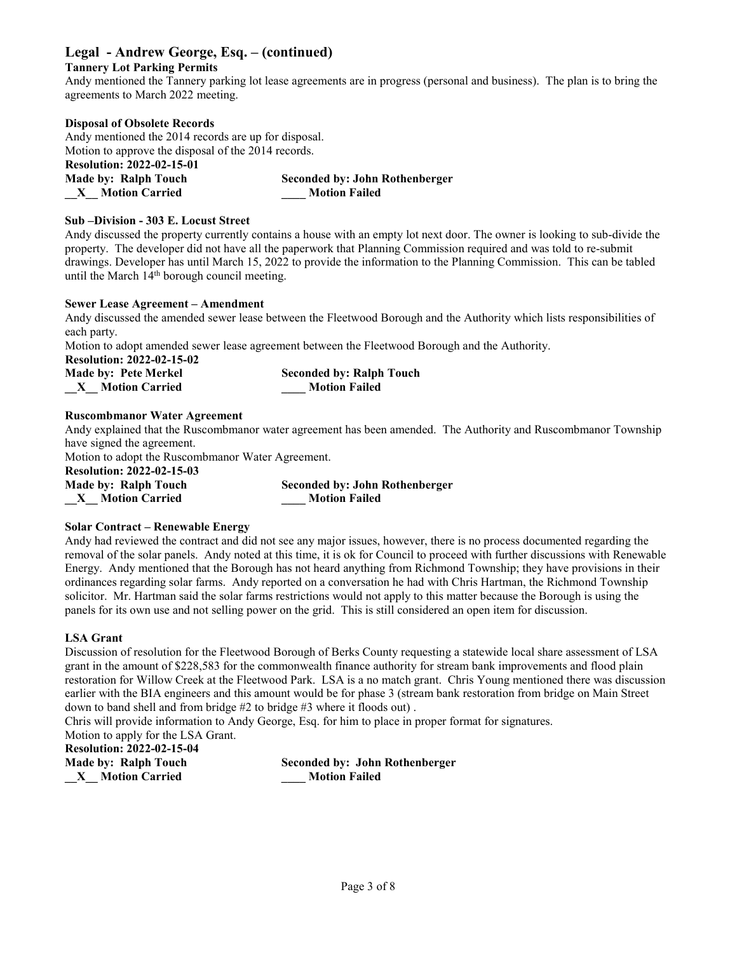## **Legal - Andrew George, Esq. – (continued)**

## **Tannery Lot Parking Permits**

Andy mentioned the Tannery parking lot lease agreements are in progress (personal and business). The plan is to bring the agreements to March 2022 meeting.

#### **Disposal of Obsolete Records**

Andy mentioned the 2014 records are up for disposal. Motion to approve the disposal of the 2014 records. **Resolution: 2022-02-15-01 Made by: Ralph Touch Seconded by: John Rothenberger \_\_X\_\_ Motion Carried \_\_\_\_ Motion Failed**

#### **Sub –Division - 303 E. Locust Street**

Andy discussed the property currently contains a house with an empty lot next door. The owner is looking to sub-divide the property. The developer did not have all the paperwork that Planning Commission required and was told to re-submit drawings. Developer has until March 15, 2022 to provide the information to the Planning Commission. This can be tabled until the March 14<sup>th</sup> borough council meeting.

#### **Sewer Lease Agreement – Amendment**

Andy discussed the amended sewer lease between the Fleetwood Borough and the Authority which lists responsibilities of each party.

Motion to adopt amended sewer lease agreement between the Fleetwood Borough and the Authority.

**Resolution: 2022-02-15-02**

| <b>Made by: Pete Merkel</b> | <b>Seconded by: Ralph Touch</b> |
|-----------------------------|---------------------------------|
| <b>Motion Carried</b>       | <b>Motion Failed</b>            |

#### **Ruscombmanor Water Agreement**

Andy explained that the Ruscombmanor water agreement has been amended. The Authority and Ruscombmanor Township have signed the agreement.

Motion to adopt the Ruscombmanor Water Agreement.

## **Resolution: 2022-02-15-03**

| <b>Made by: Ralph Touch</b> | <b>Seconded by: John Rothenberger</b> |
|-----------------------------|---------------------------------------|
| X Motion Carried            | <b>Motion Failed</b>                  |

## **Solar Contract – Renewable Energy**

Andy had reviewed the contract and did not see any major issues, however, there is no process documented regarding the removal of the solar panels. Andy noted at this time, it is ok for Council to proceed with further discussions with Renewable Energy. Andy mentioned that the Borough has not heard anything from Richmond Township; they have provisions in their ordinances regarding solar farms. Andy reported on a conversation he had with Chris Hartman, the Richmond Township solicitor. Mr. Hartman said the solar farms restrictions would not apply to this matter because the Borough is using the panels for its own use and not selling power on the grid. This is still considered an open item for discussion.

#### **LSA Grant**

Discussion of resolution for the Fleetwood Borough of Berks County requesting a statewide local share assessment of LSA grant in the amount of \$228,583 for the commonwealth finance authority for stream bank improvements and flood plain restoration for Willow Creek at the Fleetwood Park. LSA is a no match grant. Chris Young mentioned there was discussion earlier with the BIA engineers and this amount would be for phase 3 (stream bank restoration from bridge on Main Street down to band shell and from bridge #2 to bridge #3 where it floods out) .

Chris will provide information to Andy George, Esq. for him to place in proper format for signatures. Motion to apply for the LSA Grant.

**Resolution: 2022-02-15-04**

**Made by: Ralph Touch Seconded by: John Rothenberger \_\_X\_\_ Motion Carried \_\_\_\_ Motion Failed**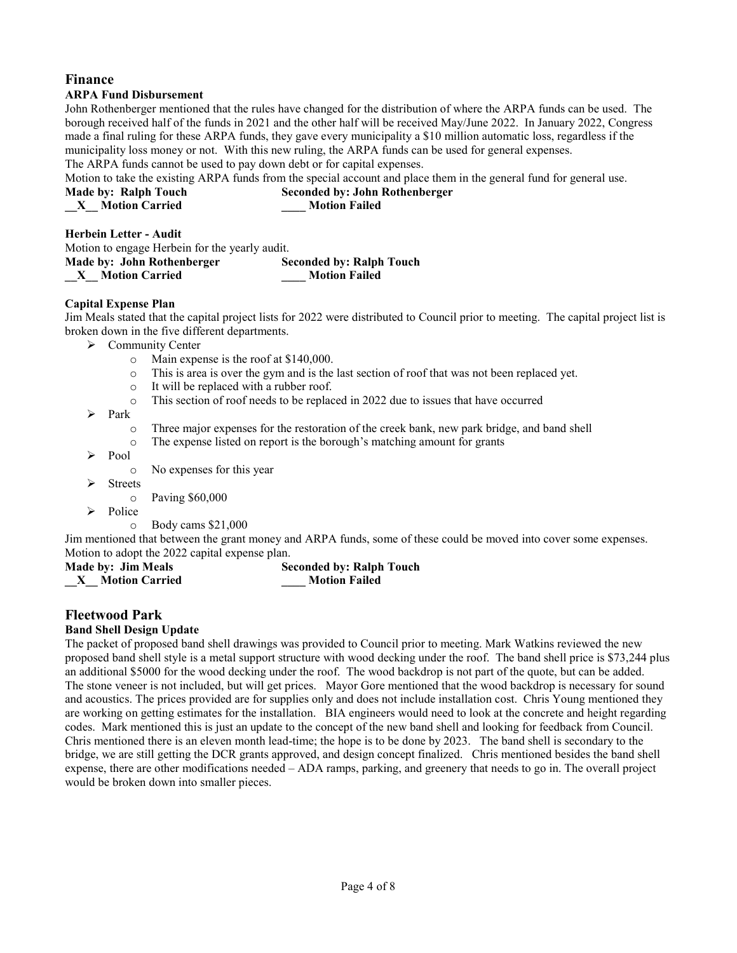## **Finance ARPA Fund Disbursement**

John Rothenberger mentioned that the rules have changed for the distribution of where the ARPA funds can be used. The borough received half of the funds in 2021 and the other half will be received May/June 2022. In January 2022, Congress made a final ruling for these ARPA funds, they gave every municipality a \$10 million automatic loss, regardless if the municipality loss money or not. With this new ruling, the ARPA funds can be used for general expenses. The ARPA funds cannot be used to pay down debt or for capital expenses.

Motion to take the existing ARPA funds from the special account and place them in the general fund for general use. **Made by: Ralph Touch Seconded by: John Rothenberger \_\_X\_\_ Motion Carried \_\_\_\_ Motion Failed**

**Herbein Letter - Audit**

| Motion to engage Herbein for the yearly audit. |                                 |
|------------------------------------------------|---------------------------------|
| Made by: John Rothenberger                     | <b>Seconded by: Ralph Touch</b> |
| <b>Motion Carried</b>                          | <b>Motion Failed</b>            |

## **Capital Expense Plan**

Jim Meals stated that the capital project lists for 2022 were distributed to Council prior to meeting. The capital project list is broken down in the five different departments.

- $\triangleright$  Community Center
	- o Main expense is the roof at \$140,000.
	- This is area is over the gym and is the last section of roof that was not been replaced yet.
	- o It will be replaced with a rubber roof.
	- o This section of roof needs to be replaced in 2022 due to issues that have occurred
- $\triangleright$  Park
	- o Three major expenses for the restoration of the creek bank, new park bridge, and band shell
	- o The expense listed on report is the borough's matching amount for grants
- $\blacktriangleright$  Pool

o No expenses for this year

 $\triangleright$  Streets

o Paving \$60,000

- Police
	- o Body cams \$21,000

Jim mentioned that between the grant money and ARPA funds, some of these could be moved into cover some expenses. Motion to adopt the 2022 capital expense plan.

| <b>Made by: Jim Meals</b> |  | <b>Seconded by: Ralph Touch</b> |
|---------------------------|--|---------------------------------|
| <b>Motion Carried</b>     |  | <b>Motion Failed</b>            |

## **Fleetwood Park**

## **Band Shell Design Update**

The packet of proposed band shell drawings was provided to Council prior to meeting. Mark Watkins reviewed the new proposed band shell style is a metal support structure with wood decking under the roof. The band shell price is \$73,244 plus an additional \$5000 for the wood decking under the roof. The wood backdrop is not part of the quote, but can be added. The stone veneer is not included, but will get prices. Mayor Gore mentioned that the wood backdrop is necessary for sound and acoustics. The prices provided are for supplies only and does not include installation cost. Chris Young mentioned they are working on getting estimates for the installation. BIA engineers would need to look at the concrete and height regarding codes. Mark mentioned this is just an update to the concept of the new band shell and looking for feedback from Council. Chris mentioned there is an eleven month lead-time; the hope is to be done by 2023. The band shell is secondary to the bridge, we are still getting the DCR grants approved, and design concept finalized. Chris mentioned besides the band shell expense, there are other modifications needed – ADA ramps, parking, and greenery that needs to go in. The overall project would be broken down into smaller pieces.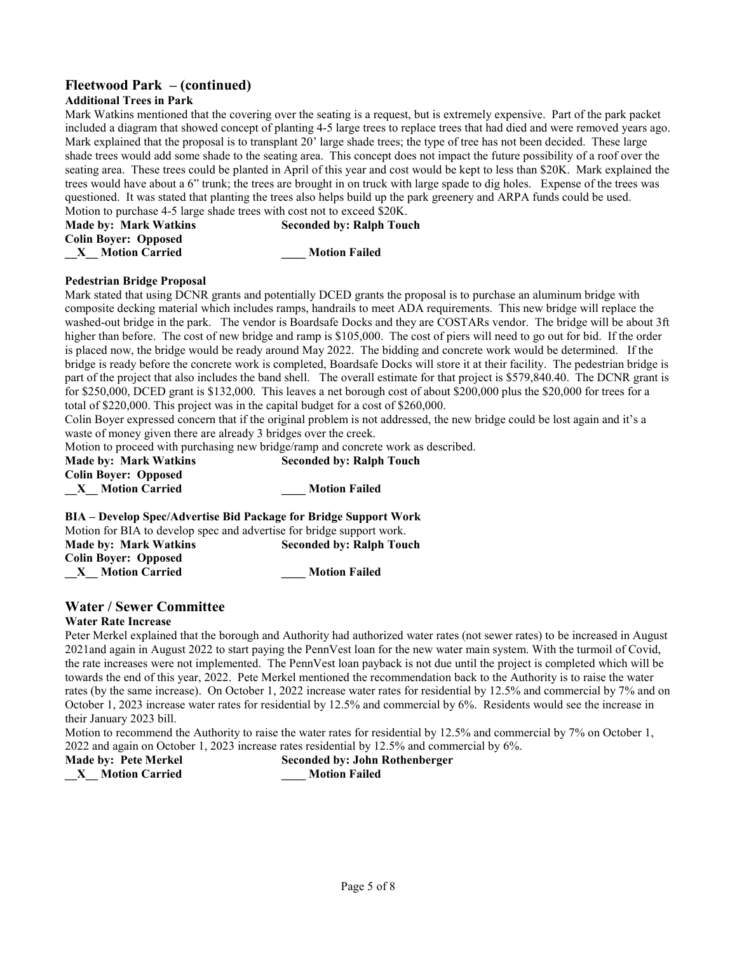## **Fleetwood Park – (continued)**

## **Additional Trees in Park**

Mark Watkins mentioned that the covering over the seating is a request, but is extremely expensive. Part of the park packet included a diagram that showed concept of planting 4-5 large trees to replace trees that had died and were removed years ago. Mark explained that the proposal is to transplant 20' large shade trees; the type of tree has not been decided. These large shade trees would add some shade to the seating area. This concept does not impact the future possibility of a roof over the seating area. These trees could be planted in April of this year and cost would be kept to less than \$20K. Mark explained the trees would have about a 6" trunk; the trees are brought in on truck with large spade to dig holes. Expense of the trees was questioned. It was stated that planting the trees also helps build up the park greenery and ARPA funds could be used. Motion to purchase 4-5 large shade trees with cost not to exceed \$20K.

| The second to be written as a family company state of the second track to written the open.<br><b>Made by: Mark Watkins</b> | <b>Seconded by: Ralph Touch</b> |  |
|-----------------------------------------------------------------------------------------------------------------------------|---------------------------------|--|
| <b>Colin Boyer: Opposed</b>                                                                                                 |                                 |  |
| <b>Motion Carried</b>                                                                                                       | <b>Motion Failed</b>            |  |

#### **Pedestrian Bridge Proposal**

Mark stated that using DCNR grants and potentially DCED grants the proposal is to purchase an aluminum bridge with composite decking material which includes ramps, handrails to meet ADA requirements. This new bridge will replace the washed-out bridge in the park. The vendor is Boardsafe Docks and they are COSTARs vendor. The bridge will be about 3ft higher than before. The cost of new bridge and ramp is \$105,000. The cost of piers will need to go out for bid. If the order is placed now, the bridge would be ready around May 2022. The bidding and concrete work would be determined. If the bridge is ready before the concrete work is completed, Boardsafe Docks will store it at their facility. The pedestrian bridge is part of the project that also includes the band shell. The overall estimate for that project is \$579,840.40. The DCNR grant is for \$250,000, DCED grant is \$132,000. This leaves a net borough cost of about \$200,000 plus the \$20,000 for trees for a total of \$220,000. This project was in the capital budget for a cost of \$260,000.

Colin Boyer expressed concern that if the original problem is not addressed, the new bridge could be lost again and it's a waste of money given there are already 3 bridges over the creek.

Motion to proceed with purchasing new bridge/ramp and concrete work as described.

| <b>Made by: Mark Watkins</b>                                     | <b>Seconded by: Ralph Touch</b> |
|------------------------------------------------------------------|---------------------------------|
| <b>Colin Bover: Opposed</b>                                      |                                 |
| <b>Motion Carried</b><br>$X_{-}$                                 | <b>Motion Failed</b>            |
| RIA - Develop Spec/Advertise Rid Peckage for Rridge Support Work |                                 |

**BIA – Develop Spec/Advertise Bid Package for Bridge Support Work** Motion for BIA to develop spec and advertise for bridge support work. **Made by: Mark Watkins Seconded by: Ralph Touch Colin Boyer: Opposed \_\_X\_\_ Motion Carried \_\_\_\_ Motion Failed**

## **Water / Sewer Committee**

## **Water Rate Increase**

Peter Merkel explained that the borough and Authority had authorized water rates (not sewer rates) to be increased in August 2021and again in August 2022 to start paying the PennVest loan for the new water main system. With the turmoil of Covid, the rate increases were not implemented. The PennVest loan payback is not due until the project is completed which will be towards the end of this year, 2022. Pete Merkel mentioned the recommendation back to the Authority is to raise the water rates (by the same increase). On October 1, 2022 increase water rates for residential by 12.5% and commercial by 7% and on October 1, 2023 increase water rates for residential by 12.5% and commercial by 6%. Residents would see the increase in their January 2023 bill.

Motion to recommend the Authority to raise the water rates for residential by 12.5% and commercial by 7% on October 1, 2022 and again on October 1, 2023 increase rates residential by 12.5% and commercial by 6%.

**Made by: Pete Merkel Seconded by: John Rothenberger \_\_X\_\_ Motion Carried \_\_\_\_ Motion Failed**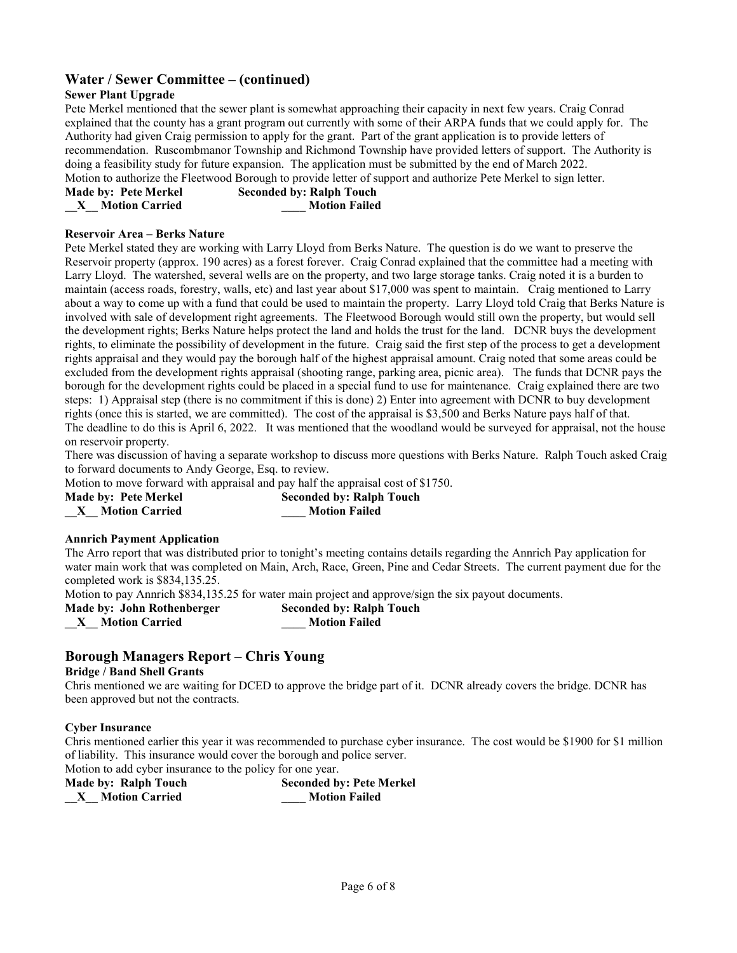# **Water / Sewer Committee – (continued)**

## **Sewer Plant Upgrade**

Pete Merkel mentioned that the sewer plant is somewhat approaching their capacity in next few years. Craig Conrad explained that the county has a grant program out currently with some of their ARPA funds that we could apply for. The Authority had given Craig permission to apply for the grant. Part of the grant application is to provide letters of recommendation. Ruscombmanor Township and Richmond Township have provided letters of support. The Authority is doing a feasibility study for future expansion. The application must be submitted by the end of March 2022. Motion to authorize the Fleetwood Borough to provide letter of support and authorize Pete Merkel to sign letter.

| <b>Made by: Pete Merkel</b> | <b>Seconded by: Ralph Touch</b> |
|-----------------------------|---------------------------------|
| <b>Motion Carried</b>       | <b>Motion Failed</b>            |

#### **Reservoir Area – Berks Nature**

Pete Merkel stated they are working with Larry Lloyd from Berks Nature. The question is do we want to preserve the Reservoir property (approx. 190 acres) as a forest forever. Craig Conrad explained that the committee had a meeting with Larry Lloyd. The watershed, several wells are on the property, and two large storage tanks. Craig noted it is a burden to maintain (access roads, forestry, walls, etc) and last year about \$17,000 was spent to maintain. Craig mentioned to Larry about a way to come up with a fund that could be used to maintain the property. Larry Lloyd told Craig that Berks Nature is involved with sale of development right agreements. The Fleetwood Borough would still own the property, but would sell the development rights; Berks Nature helps protect the land and holds the trust for the land. DCNR buys the development rights, to eliminate the possibility of development in the future. Craig said the first step of the process to get a development rights appraisal and they would pay the borough half of the highest appraisal amount. Craig noted that some areas could be excluded from the development rights appraisal (shooting range, parking area, picnic area). The funds that DCNR pays the borough for the development rights could be placed in a special fund to use for maintenance. Craig explained there are two steps: 1) Appraisal step (there is no commitment if this is done) 2) Enter into agreement with DCNR to buy development rights (once this is started, we are committed). The cost of the appraisal is \$3,500 and Berks Nature pays half of that. The deadline to do this is April 6, 2022. It was mentioned that the woodland would be surveyed for appraisal, not the house on reservoir property.

There was discussion of having a separate workshop to discuss more questions with Berks Nature. Ralph Touch asked Craig to forward documents to Andy George, Esq. to review.

Motion to move forward with appraisal and pay half the appraisal cost of \$1750.

**\_\_X\_\_ Motion Carried \_\_\_\_ Motion Failed**

**Made by: Pete Merkel Seconded by: Ralph Touch**

## **Annrich Payment Application**

The Arro report that was distributed prior to tonight's meeting contains details regarding the Annrich Pay application for water main work that was completed on Main, Arch, Race, Green, Pine and Cedar Streets. The current payment due for the completed work is \$834,135.25.

Motion to pay Annrich \$834,135.25 for water main project and approve/sign the six payout documents.<br>Made by: John Rothenberger Seconded by: Ralph Touch

**Made by: John Rothenberger** 

**\_\_X\_\_ Motion Carried \_\_\_\_ Motion Failed**

# **Borough Managers Report – Chris Young**

## **Bridge / Band Shell Grants**

Chris mentioned we are waiting for DCED to approve the bridge part of it. DCNR already covers the bridge. DCNR has been approved but not the contracts.

## **Cyber Insurance**

Chris mentioned earlier this year it was recommended to purchase cyber insurance. The cost would be \$1900 for \$1 million of liability. This insurance would cover the borough and police server. Motion to add cyber insurance to the policy for one year.

**Made by: Ralph Touch Seconded by: Pete Merkel**

**\_\_X\_\_ Motion Carried \_\_\_\_ Motion Failed**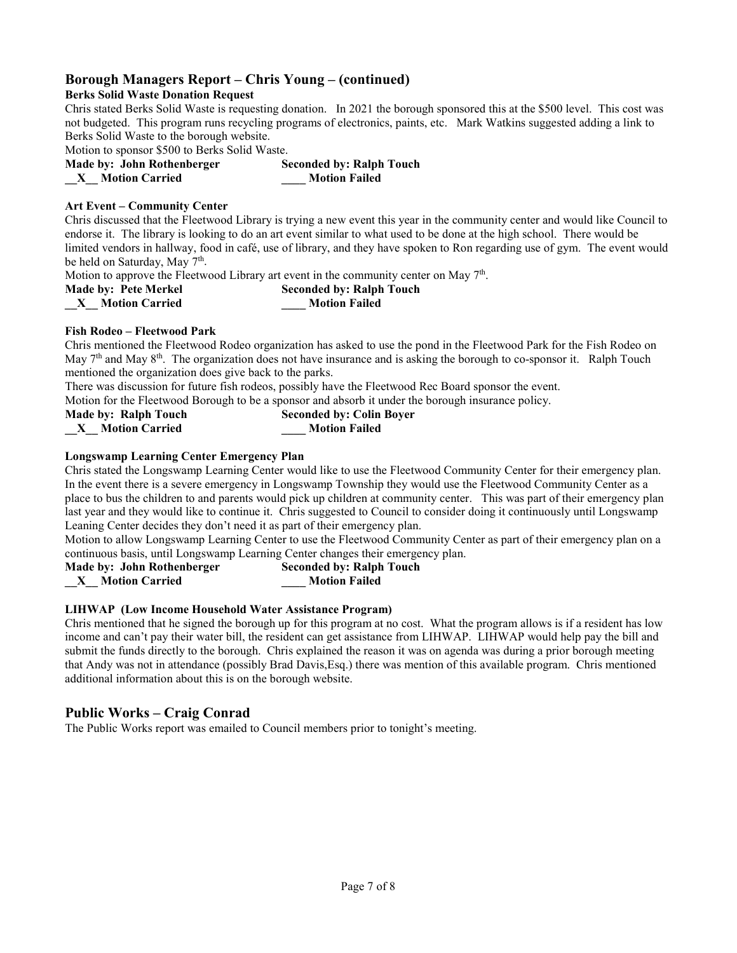## **Borough Managers Report – Chris Young – (continued)**

## **Berks Solid Waste Donation Request**

Chris stated Berks Solid Waste is requesting donation. In 2021 the borough sponsored this at the \$500 level. This cost was not budgeted. This program runs recycling programs of electronics, paints, etc. Mark Watkins suggested adding a link to Berks Solid Waste to the borough website.

Motion to sponsor \$500 to Berks Solid Waste.

| Made by: John Rothenberger | <b>Seconded by: Ralph Touch</b> |
|----------------------------|---------------------------------|
| <b>Motion Carried</b>      | <b>Motion Failed</b>            |

#### **Art Event – Community Center**

Chris discussed that the Fleetwood Library is trying a new event this year in the community center and would like Council to endorse it. The library is looking to do an art event similar to what used to be done at the high school. There would be limited vendors in hallway, food in café, use of library, and they have spoken to Ron regarding use of gym. The event would be held on Saturday, May  $7<sup>th</sup>$ .

Motion to approve the Fleetwood Library art event in the community center on May  $7<sup>th</sup>$ .

|  | Made by: Pete Merkel  |
|--|-----------------------|
|  | <b>Motion Carried</b> |

| $\frac{1}{2}$ . The state of the $\frac{1}{2}$ recent of $\alpha$ is the $\alpha$ in the community center. |                                 |
|------------------------------------------------------------------------------------------------------------|---------------------------------|
| <b>Made by: Pete Merkel</b>                                                                                | <b>Seconded by: Ralph Touch</b> |
| <b>Motion Carried</b><br>$\mathbf{X}$                                                                      | <b>Motion Failed</b>            |
|                                                                                                            |                                 |

## **Fish Rodeo – Fleetwood Park**

Chris mentioned the Fleetwood Rodeo organization has asked to use the pond in the Fleetwood Park for the Fish Rodeo on May  $7<sup>th</sup>$  and May  $8<sup>th</sup>$ . The organization does not have insurance and is asking the borough to co-sponsor it. Ralph Touch mentioned the organization does give back to the parks.

There was discussion for future fish rodeos, possibly have the Fleetwood Rec Board sponsor the event.

Motion for the Fleetwood Borough to be a sponsor and absorb it under the borough insurance policy.

| Made by: Ralph Touch  | <b>Seconded by: Colin Boyer</b> |
|-----------------------|---------------------------------|
| <b>Motion Carried</b> | <b>Motion Failed</b>            |

## **Longswamp Learning Center Emergency Plan**

Chris stated the Longswamp Learning Center would like to use the Fleetwood Community Center for their emergency plan. In the event there is a severe emergency in Longswamp Township they would use the Fleetwood Community Center as a place to bus the children to and parents would pick up children at community center. This was part of their emergency plan last year and they would like to continue it. Chris suggested to Council to consider doing it continuously until Longswamp Leaning Center decides they don't need it as part of their emergency plan.

Motion to allow Longswamp Learning Center to use the Fleetwood Community Center as part of their emergency plan on a continuous basis, until Longswamp Learning Center changes their emergency plan.

**Made by: John Rothenberger Seconded by: Ralph Touch \_\_X\_\_ Motion Carried \_\_\_\_ Motion Failed**

## **LIHWAP (Low Income Household Water Assistance Program)**

Chris mentioned that he signed the borough up for this program at no cost. What the program allows is if a resident has low income and can't pay their water bill, the resident can get assistance from LIHWAP. LIHWAP would help pay the bill and submit the funds directly to the borough. Chris explained the reason it was on agenda was during a prior borough meeting that Andy was not in attendance (possibly Brad Davis,Esq.) there was mention of this available program. Chris mentioned additional information about this is on the borough website.

## **Public Works – Craig Conrad**

The Public Works report was emailed to Council members prior to tonight's meeting.